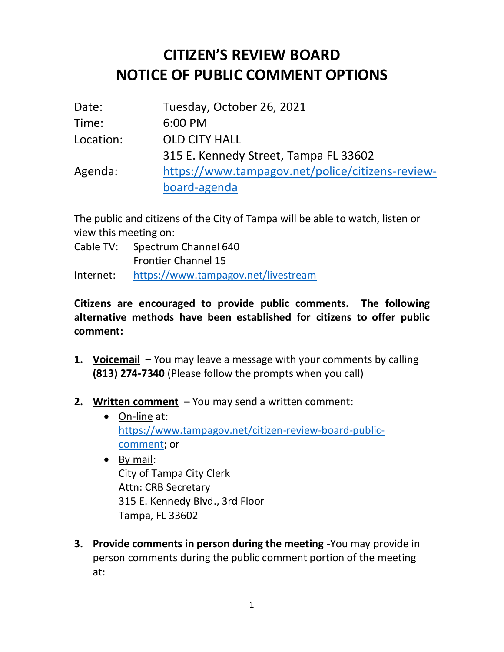## **CITIZEN'S REVIEW BOARD NOTICE OF PUBLIC COMMENT OPTIONS**

| Date:     | Tuesday, October 26, 2021                        |
|-----------|--------------------------------------------------|
| Time:     | 6:00 PM                                          |
| Location: | <b>OLD CITY HALL</b>                             |
|           | 315 E. Kennedy Street, Tampa FL 33602            |
| Agenda:   | https://www.tampagov.net/police/citizens-review- |
|           | board-agenda                                     |

The public and citizens of the City of Tampa will be able to watch, listen or view this meeting on:

Cable TV: Spectrum Channel 640 Frontier Channel 15

Internet: <https://www.tampagov.net/livestream>

**Citizens are encouraged to provide public comments. The following alternative methods have been established for citizens to offer public comment:**

- **1. Voicemail** You may leave a message with your comments by calling **(813) 274-7340** (Please follow the prompts when you call)
- **2. Written comment** You may send a written comment:
	- On-line at: [https://www.tampagov.net/citizen-review-board-public](https://www.tampagov.net/citizen-review-board-public-comment)[comment;](https://www.tampagov.net/citizen-review-board-public-comment) or
	- By mail: City of Tampa City Clerk Attn: CRB Secretary 315 E. Kennedy Blvd., 3rd Floor Tampa, FL 33602
- **3. Provide comments in person during the meeting -**You may provide in person comments during the public comment portion of the meeting at: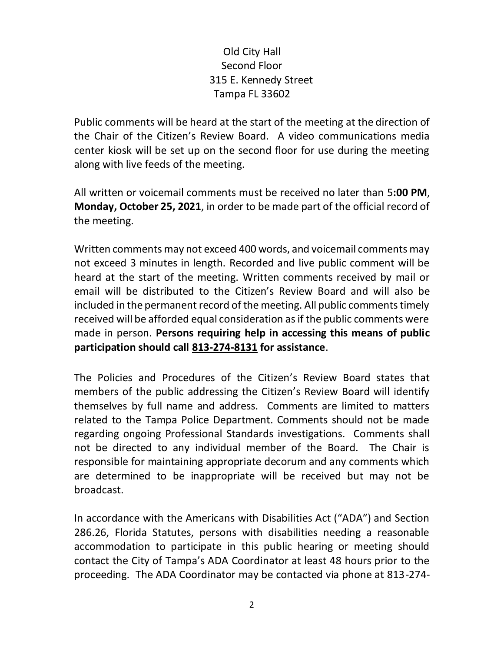## Old City Hall Second Floor 315 E. Kennedy Street Tampa FL 33602

Public comments will be heard at the start of the meeting at the direction of the Chair of the Citizen's Review Board. A video communications media center kiosk will be set up on the second floor for use during the meeting along with live feeds of the meeting.

All written or voicemail comments must be received no later than 5**:00 PM**, **Monday, October 25, 2021**, in order to be made part of the official record of the meeting.

Written comments may not exceed 400 words, and voicemail comments may not exceed 3 minutes in length. Recorded and live public comment will be heard at the start of the meeting. Written comments received by mail or email will be distributed to the Citizen's Review Board and will also be included in the permanent record of the meeting. All public comments timely received will be afforded equal consideration as if the public comments were made in person. **Persons requiring help in accessing this means of public participation should call 813-274-8131 for assistance**.

The Policies and Procedures of the Citizen's Review Board states that members of the public addressing the Citizen's Review Board will identify themselves by full name and address. Comments are limited to matters related to the Tampa Police Department. Comments should not be made regarding ongoing Professional Standards investigations. Comments shall not be directed to any individual member of the Board. The Chair is responsible for maintaining appropriate decorum and any comments which are determined to be inappropriate will be received but may not be broadcast.

In accordance with the Americans with Disabilities Act ("ADA") and Section 286.26, Florida Statutes, persons with disabilities needing a reasonable accommodation to participate in this public hearing or meeting should contact the City of Tampa's ADA Coordinator at least 48 hours prior to the proceeding. The ADA Coordinator may be contacted via phone at 813-274